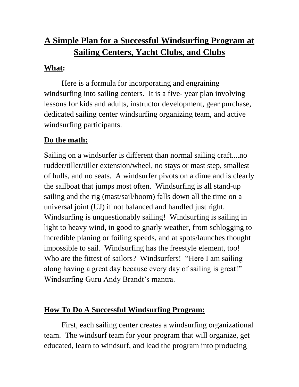# **A Simple Plan for a Successful Windsurfing Program at Sailing Centers, Yacht Clubs, and Clubs**

#### **What:**

Here is a formula for incorporating and engraining windsurfing into sailing centers. It is a five- year plan involving lessons for kids and adults, instructor development, gear purchase, dedicated sailing center windsurfing organizing team, and active windsurfing participants.

# **Do the math:**

Sailing on a windsurfer is different than normal sailing craft....no rudder/tiller/tiller extension/wheel, no stays or mast step, smallest of hulls, and no seats. A windsurfer pivots on a dime and is clearly the sailboat that jumps most often. Windsurfing is all stand-up sailing and the rig (mast/sail/boom) falls down all the time on a universal joint (UJ) if not balanced and handled just right. Windsurfing is unquestionably sailing! Windsurfing is sailing in light to heavy wind, in good to gnarly weather, from schlogging to incredible planing or foiling speeds, and at spots/launches thought impossible to sail. Windsurfing has the freestyle element, too! Who are the fittest of sailors? Windsurfers! "Here I am sailing along having a great day because every day of sailing is great!" Windsurfing Guru Andy Brandt's mantra.

# **How To Do A Successful Windsurfing Program:**

First, each sailing center creates a windsurfing organizational team. The windsurf team for your program that will organize, get educated, learn to windsurf, and lead the program into producing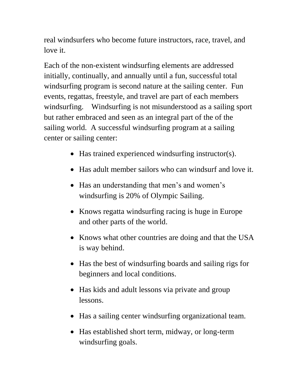real windsurfers who become future instructors, race, travel, and love it.

Each of the non-existent windsurfing elements are addressed initially, continually, and annually until a fun, successful total windsurfing program is second nature at the sailing center. Fun events, regattas, freestyle, and travel are part of each members windsurfing. Windsurfing is not misunderstood as a sailing sport but rather embraced and seen as an integral part of the of the sailing world. A successful windsurfing program at a sailing center or sailing center:

- Has trained experienced windsurfing instructor(s).
- Has adult member sailors who can windsurf and love it.
- Has an understanding that men's and women's windsurfing is 20% of Olympic Sailing.
- Knows regatta windsurfing racing is huge in Europe and other parts of the world.
- Knows what other countries are doing and that the USA is way behind.
- Has the best of windsurfing boards and sailing rigs for beginners and local conditions.
- Has kids and adult lessons via private and group lessons.
- Has a sailing center windsurfing organizational team.
- Has established short term, midway, or long-term windsurfing goals.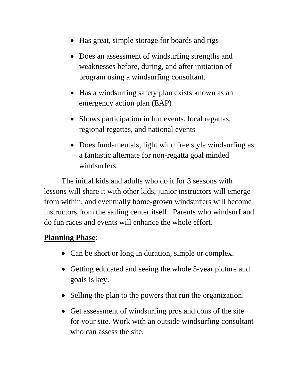- Has great, simple storage for boards and rigs
- Does an assessment of windsurfing strengths and weaknesses before, during, and after initiation of program using a windsurfing consultant.
- Has a windsurfing safety plan exists known as an emergency action plan (EAP)
- Shows participation in fun events, local regattas, regional regattas, and national events
- Does fundamentals, light wind free style windsurfing as a fantastic alternate for non-regatta goal minded windsurfers.

The initial kids and adults who do it for 3 seasons with lessons will share it with other kids, junior instructors will emerge from within, and eventually home-grown windsurfers will become instructors from the sailing center itself. Parents who windsurf and do fun races and events will enhance the whole effort.

#### **Planning Phase**:

- Can be short or long in duration, simple or complex.
- Getting educated and seeing the whole 5-year picture and goals is key.
- Selling the plan to the powers that run the organization.
- Get assessment of windsurfing pros and cons of the site for your site. Work with an outside windsurfing consultant who can assess the site.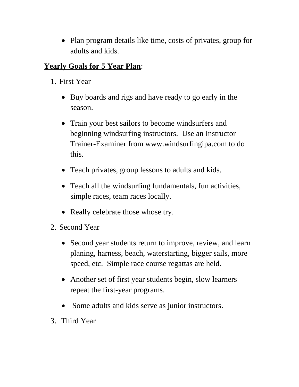• Plan program details like time, costs of privates, group for adults and kids.

## **Yearly Goals for 5 Year Plan**:

- 1. First Year
	- Buy boards and rigs and have ready to go early in the season.
	- Train your best sailors to become windsurfers and beginning windsurfing instructors. Use an Instructor Trainer-Examiner from www.windsurfingipa.com to do this.
	- Teach privates, group lessons to adults and kids.
	- Teach all the windsurfing fundamentals, fun activities, simple races, team races locally.
	- Really celebrate those whose try.
- 2. Second Year
	- Second year students return to improve, review, and learn planing, harness, beach, waterstarting, bigger sails, more speed, etc. Simple race course regattas are held.
	- Another set of first year students begin, slow learners repeat the first-year programs.
	- Some adults and kids serve as junior instructors.
- 3. Third Year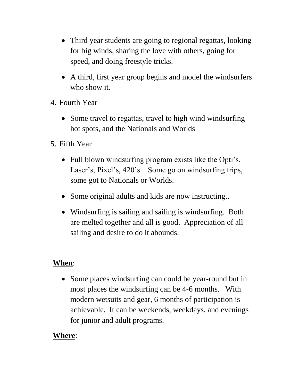- Third year students are going to regional regattas, looking for big winds, sharing the love with others, going for speed, and doing freestyle tricks.
- A third, first year group begins and model the windsurfers who show it.
- 4. Fourth Year
	- Some travel to regattas, travel to high wind windsurfing hot spots, and the Nationals and Worlds
- 5. Fifth Year
	- Full blown windsurfing program exists like the Opti's, Laser's, Pixel's, 420's. Some go on windsurfing trips, some got to Nationals or Worlds.
	- Some original adults and kids are now instructing..
	- Windsurfing is sailing and sailing is windsurfing. Both are melted together and all is good. Appreciation of all sailing and desire to do it abounds.

#### **When**:

• Some places windsurfing can could be year-round but in most places the windsurfing can be 4-6 months. With modern wetsuits and gear, 6 months of participation is achievable. It can be weekends, weekdays, and evenings for junior and adult programs.

#### **Where**: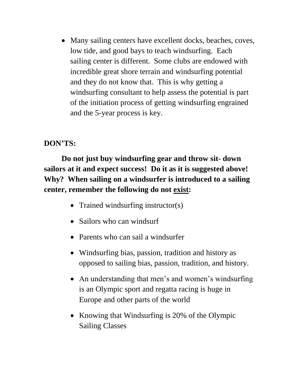• Many sailing centers have excellent docks, beaches, coves, low tide, and good bays to teach windsurfing. Each sailing center is different. Some clubs are endowed with incredible great shore terrain and windsurfing potential and they do not know that. This is why getting a windsurfing consultant to help assess the potential is part of the initiation process of getting windsurfing engrained and the 5-year process is key.

## **DON'TS:**

**Do not just buy windsurfing gear and throw sit- down sailors at it and expect success! Do it as it is suggested above! Why? When sailing on a windsurfer is introduced to a sailing center, remember the following do not exist:**

- Trained windsurfing instructor(s)
- Sailors who can windsurf
- Parents who can sail a windsurfer
- Windsurfing bias, passion, tradition and history as opposed to sailing bias, passion, tradition, and history.
- An understanding that men's and women's windsurfing is an Olympic sport and regatta racing is huge in Europe and other parts of the world
- Knowing that Windsurfing is 20% of the Olympic Sailing Classes